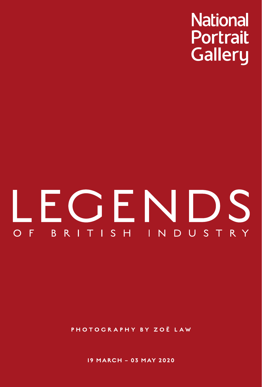**National Portrait Gallery** 

## LEGENDS BRITISH INDUST  $O$  F R Y

PHOTOGR APHY BY ZOË LAW

19 MARCH – 03 MAY 2020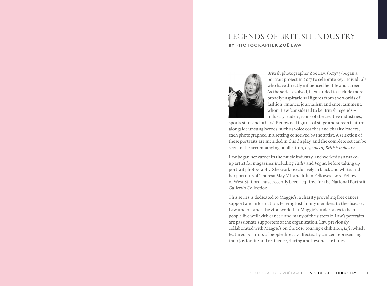### Legends of British Industry BY PHOTOGRAPHER ZOË LAW



British photographer Zoë Law (b.1975) began a portrait project in 2017 to celebrate key individuals who have directly influenced her life and career. As the series evolved, it expanded to include more broadly inspirational figures from the worlds of fashion, finance, journalism and entertainment, whom Law 'considered to be British legends – industry leaders, icons of the creative industries,

sports stars and others'. Renowned figures of stage and screen feature alongside unsung heroes, such as voice coaches and charity leaders, each photographed in a setting conceived by the artist. A selection of these portraits are included in this display, and the complete set can be seen in the accompanying publication, *Legends of British Industry*.

Law began her career in the music industry, and worked as a makeup artist for magazines including *Tatler* and *Vogue*, before taking up portrait photography. She works exclusively in black and white, and her portraits of Theresa May MP and Julian Fellowes, Lord Fellowes of West Stafford, have recently been acquired for the National Portrait Gallery's Collection.

This series is dedicated to Maggie's, a charity providing free cancer support and information. Having lost family members to the disease, Law understands the vital work that Maggie's undertakes to help people live well with cancer, and many of the sitters in Law's portraits are passionate supporters of the organisation. Law previously collaborated with Maggie's on the 2016 touring exhibition, *Life*, which featured portraits of people directly affected by cancer, representing their joy for life and resilience, during and beyond the illness.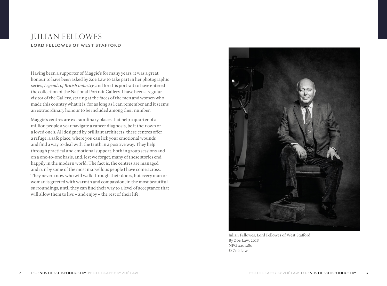#### Julian Fellowes LORD FELLOWES OF WEST STAFFORD

Having been a supporter of Maggie's for many years, it was a great honour to have been asked by Zoë Law to take part in her photographic series, *Legends of British Industry*, and for this portrait to have entered the collection of the National Portrait Gallery. I have been a regular visitor of the Gallery, staring at the faces of the men and women who made this country what it is, for as long as I can remember and it seems an extraordinary honour to be included among their number.

Maggie's centres are extraordinary places that help a quarter of a million people a year navigate a cancer diagnosis, be it their own or a loved one's. All designed by brilliant architects, these centres offer a refuge, a safe place, where you can lick your emotional wounds and find a way to deal with the truth in a positive way. They help through practical and emotional support, both in group sessions and on a one-to-one basis, and, lest we forget, many of these stories end happily in the modern world. The fact is, the centres are managed and run by some of the most marvellous people I have come across. They never know who will walk through their doors, but every man or woman is greeted with warmth and compassion, in the most beautiful surroundings, until they can find their way to a level of acceptance that will allow them to live – and enjoy – the rest of their life.



Julian Fellowes, Lord Fellowes of West Stafford By Zoë Law, 2018 NPG x201280 © Zoë Law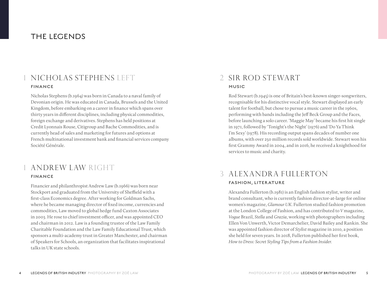## THE LEGENDS

#### NICHOLAS STEPHENS LEFT FINANCE

Nicholas Stephens (b.1964) was born in Canada to a naval family of Devonian origin. He was educated in Canada, Brussels and the United Kingdom, before embarking on a career in finance which spans over thirty years in different disciplines, including physical commodities, foreign exchange and derivatives. Stephens has held positions at Credit Lyonnais Rouse, Citigroup and Bache Commodities, and is currently head of sales and marketing for futures and options at French multinational investment bank and financial services company Société Générale.

#### 1 Andrew Law right FINANCE

Financier and philanthropist Andrew Law (b.1966) was born near Stockport and graduated from the University of Sheffield with a first-class Economics degree. After working for Goldman Sachs, where he became managing director of fixed income, currencies and commodities, Law moved to global hedge fund Caxton Associates in 2003. He rose to chief investment officer, and was appointed CEO and chairman in 2012. Law is a founding trustee of the Law Family Charitable Foundation and the Law Family Educational Trust, which sponsors a multi-academy trust in Greater Manchester, and chairman of Speakers for Schools, an organization that facilitates inspirational talks in UK state schools.

## 2 Sir Rod Stewart MUSIC

Rod Stewart (b.1945) is one of Britain's best-known singer-songwriters, recognisable for his distinctive vocal style. Stewart displayed an early talent for football, but chose to pursue a music career in the 1960s, performing with bands including the Jeff Beck Group and the Faces, before launching a solo career. 'Maggie May' became his first hit single in 1971, followed by 'Tonight's the Night' (1976) and 'Do Ya Think I'm Sexy' (1978). His recording output spans decades of number one albums, with over 250 million records sold worldwide. Stewart won his first Grammy Award in 2004, and in 2016, he received a knighthood for services to music and charity.

## 3 Alexandra Fullerton FASHION, LITERATURE

Alexandra Fullerton (b.1981) is an English fashion stylist, writer and brand consultant, who is currently fashion director-at-large for online women's magazine, *Glamour UK*. Fullerton studied fashion promotion at the London College of Fashion, and has contributed to *V* magazine, *Vogue* Brazil, *Stella* and *Grazia*, working with photographers including Ellen Von Unwerth, Victor Demarchelier, David Bailey and Rankin. She was appointed fashion director of *Stylist* magazine in 2010, a position she held for seven years. In 2018, Fullerton published her first book, *How to Dress: Secret Styling Tips from a Fashion Insider.*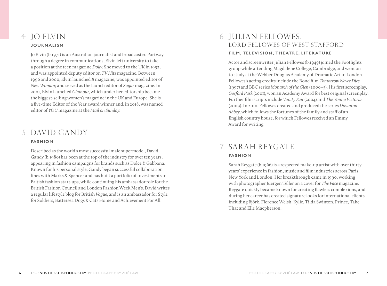#### 4 Jo Elvin JOURNALISM

Jo Elvin (b.1971) is an Australian journalist and broadcaster. Partway through a degree in communications, Elvin left university to take a position at the teen magazine *Dolly*. She moved to the UK in 1992, and was appointed deputy editor on *TV Hits* magazine. Between 1996 and 2000, Elvin launched *B* magazine; was appointed editor of *New Woman*; and served as the launch editor of *Sugar* magazine. In 2001, Elvin launched *Glamour*, which under her editorship became the biggest-selling women's magazine in the UK and Europe. She is a five-time Editor of the Year award winner and, in 2018, was named editor of *YOU* magazine at the *Mail on Sunday*.

## 5 David Gandy FASHION

Described as the world's most successful male supermodel, David Gandy (b.1980) has been at the top of the industry for over ten years, appearing in fashion campaigns for brands such as Dolce & Gabbana. Known for his personal style, Gandy began successful collaboration lines with Marks & Spencer and has built a portfolio of investments in British fashion start-ups, while continuing his ambassador role for the British Fashion Council and London Fashion Week Men's. David writes a regular lifestyle blog for British *Vogue*, and is an ambassador for Style for Soldiers, Battersea Dogs & Cats Home and Achievement For All.

#### 6 Julian Fellowes , Lord Fellowes of West Stafford FILM, TELEVISION, THEATRE, LITER ATURE

Actor and screenwriter Julian Fellowes (b.1949) joined the Footlights group while attending Magdalene College, Cambridge, and went on to study at the Webber Douglas Academy of Dramatic Art in London. Fellowes's acting credits include the Bond film *Tomorrow Never Dies* (1997) and BBC series *Monarch of the Glen* (2000–5). His first screenplay, *Gosford Park* (2001), won an Academy Award for best original screenplay. Further film scripts include *Vanity Fair* (2004) and *The Young Victoria* (2009). In 2010, Fellowes created and produced the series *Downton Abbey*, which follows the fortunes of the family and staff of an English country house, for which Fellowes received an Emmy Award for writing.

# 7 Sarah Reygate

#### FASHION

Sarah Reygate (b.1966) is a respected make-up artist with over thirty years' experience in fashion, music and film industries across Paris, New York and London. Her breakthrough came in 1990, working with photographer Juergen Teller on a cover for *The Face* magazine. Reygate quickly became known for creating flawless complexions, and during her career has created signature looks for international clients including Björk, Florence Welsh, Kylie, Tilda Swinton, Prince, Take That and Elle Macpherson.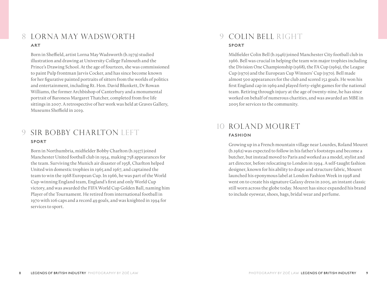#### 8 Lorna May Wadsworth ART

Born in Sheffield, artist Lorna May Wadsworth (b.1979) studied illustration and drawing at University College Falmouth and the Prince's Drawing School. At the age of fourteen, she was commissioned to paint Pulp frontman Jarvis Cocker, and has since become known for her figurative painted portraits of sitters from the worlds of politics and entertainment, including Rt. Hon. David Blunkett, Dr Rowan Williams, the former Archbishop of Canterbury and a monumental portrait of Baroness Margaret Thatcher, completed from five life sittings in 2007. A retrospective of her work was held at Graves Gallery, Museums Sheffield in 2019.

#### 9 SIR BOBBY CHARLTON LEFT SPORT

Born in Northumbria, midfielder Bobby Charlton (b.1937) joined Manchester United football club in 1954, making 758 appearances for the team. Surviving the Munich air disaster of 1958, Charlton helped United win domestic trophies in 1965 and 1967, and captained the team to win the 1968 European Cup. In 1966, he was part of the World Cup-winning England team, England's first and only World Cup victory, and was awarded the FIFA World Cup Golden Ball, naming him Player of the Tournament. He retired from international football in 1970 with 106 caps and a record 49 goals, and was knighted in 1994 for services to sport.

## 9 Colin Bell right SPORT

Midfielder Colin Bell (b.1946) joined Manchester City football club in 1966. Bell was crucial in helping the team win major trophies including the Division One Championship (1968), the FA Cup (1969), the League Cup (1970) and the European Cup Winners' Cup (1970). Bell made almost 500 appearances for the club and scored 152 goals. He won his first England cap in 1969 and played forty-eight games for the national team. Retiring through injury at the age of twenty-nine, he has since worked on behalf of numerous charities, and was awarded an MBE in 2005 for services to the community.

## 10 Roland Mouret FASHION

Growing up in a French mountain village near Lourdes, Roland Mouret (b.1962) was expected to follow in his father's footsteps and become a butcher, but instead moved to Paris and worked as a model, stylist and art director, before relocating to London in 1994. A self-taught fashion designer, known for his ability to drape and structure fabric, Mouret launched his eponymous label at London Fashion Week in 1998 and went on to create his signature Galaxy dress in 2005, an instant classic still worn across the globe today. Mouret has since expanded his brand to include eyewear, shoes, bags, bridal wear and perfume.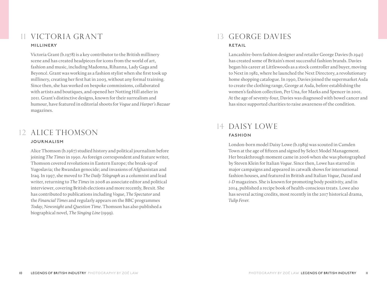#### 11 Victoria Grant MILLINERY

Victoria Grant (b.1978) is a key contributor to the British millinery scene and has created headpieces for icons from the world of art, fashion and music, including Madonna, Rihanna, Lady Gaga and Beyoncé. Grant was working as a fashion stylist when she first took up millinery, creating her first hat in 2003, without any formal training. Since then, she has worked on bespoke commissions, collaborated with artists and boutiques, and opened her Notting Hill atelier in 2011. Grant's distinctive designs, known for their surrealism and humour, have featured in editorial shoots for *Vogue* and *Harper's Bazaar* magazines.

## 12 Alice Thomson **JOURNALISM**

Alice Thomson (b.1967) studied history and political journalism before joining *The Times* in 1990. As foreign correspondent and feature writer, Thomson covered revolutions in Eastern Europe; the break-up of Yugoslavia; the Rwandan genocide; and invasions of Afghanistan and Iraq. In 1997, she moved to *The Daily Telegraph* as a columnist and lead writer, returning to *The Times* in 2008 as associate editor and political interviewer, covering British elections and more recently, Brexit. She has contributed to publications including *Vogue*, *The Spectator* and the *Financial Times* and regularly appears on the BBC programmes *Today*, *Newsnight* and *Question Time*. Thomson has also published a biographical novel, *The Singing Line* (1999).

## 13 George Davies RETAIL

Lancashire-born fashion designer and retailer George Davies (b.1941) has created some of Britain's most successful fashion brands. Davies began his career at Littlewoods as a stock controller and buyer, moving to Next in 1982, where he launched the Next Directory, a revolutionary home shopping catalogue. In 1990, Davies joined the supermarket Asda to create the clothing range, George at Asda, before establishing the women's fashion collection, Per Una, for Marks and Spencer in 2001. At the age of seventy-four, Davies was diagnosed with bowel cancer and has since supported charities to raise awareness of the condition.

#### 14 Daisy Lowe FASHION

London-born model Daisy Lowe (b.1989) was scouted in Camden Town at the age of fifteen and signed by Select Model Management. Her breakthrough moment came in 2006 when she was photographed by Steven Klein for Italian *Vogue*. Since then, Lowe has starred in major campaigns and appeared in catwalk shows for international fashion houses, and featured in British and Italian *Vogue*, *Dazed* and *i‑D* magazines. She is known for promoting body positivity, and in 2014, published a recipe book of health-conscious treats. Lowe also has several acting credits, most recently in the 2017 historical drama, *Tulip Fever*.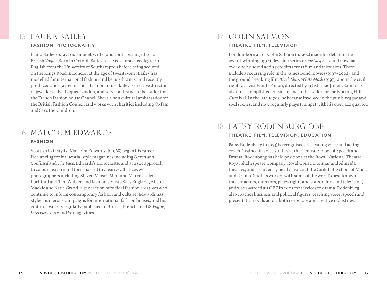#### 15 Laura Bailey FASHION, PHOTOGRAPHY

Laura Bailey (b.1972) is a model, writer and contributing editor at British *Vogue*. Born in Oxford, Bailey received a first class degree in English from the University of Southampton before being scouted on the Kings Road in London at the age of twenty-one. Bailey has modelled for international fashion and beauty brands, and recently produced and starred in short fashion films. Bailey is creative director of jewellery label Loquet London, and serves as brand ambassador for the French fashion house Chanel. She is also a cultural ambassador for the British Fashion Council and works with charities including Oxfam and Save the Children.

#### 16 Malcolm Edwards FASHION

Scottish hair stylist Malcolm Edwards (b.1968) began his career freelancing for influential style magazines including *Dazed and Confused* and *The Face*. Edwards's iconoclastic and artistic approach to colour, texture and form has led to creative alliances with photographers including Steven Meisel, Mert and Marcus, Glen Luchford and Tim Walker, and fashion stylists Katy England, Alister Mackie and Katie Grand; a generation of radical fashion creatives who continue to inform contemporary fashion and culture. Edwards has styled numerous campaigns for international fashion houses, and his editorial work is regularly published in British, French and US *Vogue*, *Interview*, *Love* and *W* magazines.

## 17 Colin Salmon THEATRE, FILM, TELEVISION

London-born actor Colin Salmon (b.1962) made his debut in the award-winning 1992 television series *Prime Suspect 2* and now has over one hundred acting credits across film and television. These include a recurring role in the James Bond movies (1997–2002), and the ground-breaking film *Black Skin, White Mask* (1997), about the civil rights activist Frantz Fanon, directed by artist Isaac Julien. Salmon is also an accomplished musician and ambassador for the Notting Hill Carnival. In the late 1970s, he became involved in the punk, reggae and soul scenes, and now regularly plays trumpet with his own jazz quartet.

#### 18 PATSY RODENBURG OBE THEATRE, FILM, TELEVISION, EDUCATION

Patsy Rodenburg (b.1953) is recognised as a leading voice and acting coach. Trained in voice studies at the Central School of Speech and Drama, Rodenburg has held positions at the Royal National Theatre, Royal Shakespeare Company, Royal Court, Donmar and Almeida theatres, and is currently head of voice at the Guildhall School of Music and Drama. She has worked with some of the world's best-known theatre actors, directors, playwrights and stars of film and television, and was awarded an OBE in 2005 for services to drama. Rodenburg also coaches business and political figures, teaching voice, speech and presentation skills across both corporate and creative industries.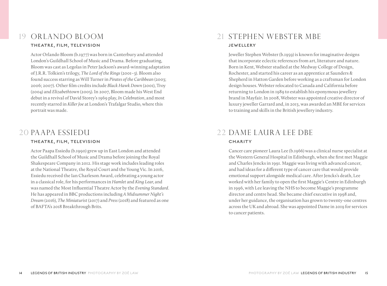### 19 Orlando Bloom THEATRE, FILM, TELEVISION

Actor Orlando Bloom (b.1977) was born in Canterbury and attended London's Guildhall School of Music and Drama. Before graduating, Bloom was cast as Legolas in Peter Jackson's award-winning adaptation of J.R.R. Tolkien's trilogy, *The Lord of the Rings* (2001–3). Bloom also found success starring as Will Turner in *Pirates of the Caribbean* (2003; 2006; 2007). Other film credits include *Black Hawk Down* (2001), Troy (2004) and *Elizabethtown* (2005). In 2007, Bloom made his West End debut in a revival of David Storey's 1969 play, *In Celebration*, and most recently starred in *Killer Joe* at London's Trafalgar Studio, where this portrait was made.

#### 20 Paapa Essiedu THEATRE, FILM, TELEVISION

Actor Paapa Essiedu (b.1990) grew up in East London and attended the Guildhall School of Music and Drama before joining the Royal Shakespeare Company in 2012. His stage work includes leading roles at the National Theatre, the Royal Court and the Young Vic. In 2016, Essiedu received the Ian Charleson Award, celebrating a young actor in a classical role, for his performances in *Hamlet* and *King Lear*, and was named the Most Influential Theatre Actor by the *Evening Standard*. He has appeared in BBC productions including *A Midsummer Night's Dream* (2016), *The Miniaturist* (2017) and *Press* (2018) and featured as one of BAFTA's 2018 Breakthrough Brits.

## 21 Stephen Webster MBE JEWELLERY

Jeweller Stephen Webster (b.1959) is known for imaginative designs that incorporate eclectic references from art, literature and nature. Born in Kent, Webster studied at the Medway College of Design, Rochester, and started his career as an apprentice at Saunders & Shepherd in Hatton Garden before working as a craftsman for London design houses. Webster relocated to Canada and California before returning to London in 1989 to establish his eponymous jewellery brand in Mayfair. In 2008, Webster was appointed creative director of luxury jeweller Garrard and, in 2013, was awarded an MBE for services to training and skills in the British jewellery industry.

## 22 Dame Laura Lee DBE **CHARITY**

Cancer care pioneer Laura Lee (b.1966) was a clinical nurse specialist at the Western General Hospital in Edinburgh, when she first met Maggie and Charles Jencks in 1991. Maggie was living with advanced cancer, and had ideas for a different type of cancer care that would provide emotional support alongside medical care. After Jencks's death, Lee worked with her family to open the first Maggie's Centre in Edinburgh in 1996, with Lee leaving the NHS to become Maggie's programme director and centre head. She became chief executive in 1998 and, under her guidance, the organisation has grown to twenty-one centres across the UK and abroad. She was appointed Dame in 2019 for services to cancer patients.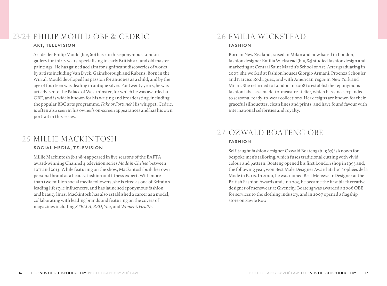#### Philip Mould OBE & Cedric 23/24 26 Emilia Wickstead ART, TELEVISION

Art dealer Philip Mould (b.1960) has run his eponymous London gallery for thirty years, specialising in early British art and old master paintings. He has gained acclaim for significant discoveries of works by artists including Van Dyck, Gainsborough and Rubens. Born in the Wirral, Mould developed his passion for antiques as a child, and by the age of fourteen was dealing in antique silver. For twenty years, he was art adviser to the Palace of Westminster, for which he was awarded an OBE, and is widely known for his writing and broadcasting, including the popular BBC arts programme, *Fake or Fortune?* His whippet, Cedric, is often also seen in his owner's on-screen appearances and has his own portrait in this series.

# 25 Millie Mackintosh

#### SOCIAL MEDIA, TELEVISION

Millie Mackintosh (b.1989) appeared in five seasons of the BAFTA award-winning Channel 4 television series *Made in Chelsea* between 2011 and 2013. While featuring on the show, Mackintosh built her own personal brand as a beauty, fashion and fitness expert. With more than two million social media followers, she is cited as one of Britain's leading lifestyle influencers, and has launched eponymous fashion and beauty lines. Mackintosh has also established a career as a model, collaborating with leading brands and featuring on the covers of magazines including *STELLA*, *RED*, *You*, and *Women's Health*.

# FASHION

Born in New Zealand, raised in Milan and now based in London, fashion designer Emilia Wickstead (b.1983) studied fashion design and marketing at Central Saint Martin's School of Art. After graduating in 2007, she worked at fashion houses Giorgio Armani, Proenza Schouler and Narciso Rodriguez, and with American *Vogue* in New York and Milan. She returned to London in 2008 to establish her eponymous fashion label as a made-to-measure atelier, which has since expanded to seasonal ready-to-wear collections. Her designs are known for their graceful silhouettes, clean lines and prints, and have found favour with international celebrities and royalty.

### 27 Ozwald Boateng OBE FASHION

Self-taught fashion designer Ozwald Boateng (b.1967) is known for bespoke men's tailoring, which fuses traditional cutting with vivid colour and pattern. Boateng opened his first London shop in 1995 and, the following year, won Best Male Designer Award at the Trophées de la Mode in Paris. In 2000, he was named Best Menswear Designer at the British Fashion Awards and, in 2003, he became the first black creative designer of menswear at Givenchy. Boateng was awarded a 2006 OBE for services to the clothing industry, and in 2007 opened a flagship store on Savile Row.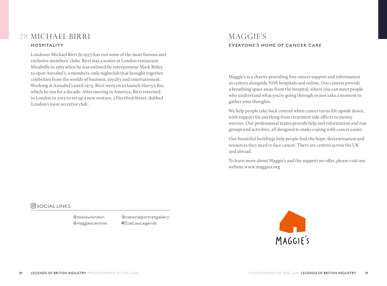#### 28 Michael Birri HOSPITALITY

Londoner Michael Birri (b.1937) has run some of the most famous and exclusive members' clubs. Birri was a waiter at London restaurant Mirabelle in 1963 when he was enlisted by entrepreneur Mark Birley to open Annabel's, a members-only nightclub that brought together celebrities from the worlds of business, royalty and entertainment. Working at Annabel's until 1979, Birri went on to launch Harry's Bar, which he ran for a decade. After moving to America, Birri returned to London in 2012 to set up a new venture, 5 Hertford Street, dubbed 'London's most secretive club'.

#### MAGGIE'S EVERYONE'S HOME OF CANCER CARE

Maggie's is a charity providing free cancer support and information in centres alongside NHS hospitals and online. Our centres provide a breathing space away from the hospital, where you can meet people who understand what you're going through or just take a moment to gather your thoughts.

We help people take back control when cancer turns life upside down, with support for anything from treatment side effects to money worries. Our professional teams provide help and information and run groups and activities, all designed to make coping with cancer easier.

Our beautiful buildings help people find the hope, determination and resources they need to face cancer. There are centres across the UK and abroad.

To learn more about Maggie's and the support we offer, please visit our website www.maggies.org

#### **O** SOCIAL LINKS

@zoelawlondon @maggiescentres @nationalportraitgallery #ZoeLawLegends

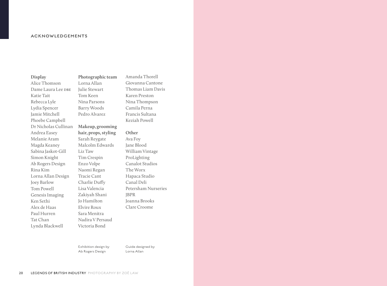#### ACKNOWLEDGEMENTS

#### **Display**

Alice Thomson Dame Laura Lee DBE Katie Tait Rebecca Lyle Lydia Spencer Jamie Mitchell Phoebe Campbell Dr Nicholas Cullinan Andrea Easey Melanie Aram Magda Keaney Sabina Jaskot-Gill Simon Knight Ab Rogers Design Rina Kim Lorna Allan Design Joey Barlow Tom Powell Genesis Imaging Ken Sethi Alex de Haas Paul Hurren Tat Chan Lynda Blackwell

**Photographic team**  Lorna Allan Julie Stewart Tom Keen Nina Parsons Barry Woods Pedro Alvarez

#### **Makeup, grooming hair, props, styling**  Sarah Reygate Malcolm Edwards Liz Taw Tim Crespin Enzo Volpe Naomi Regan Tracie Cant Charlie Duffy Lisa Valencia Zakiyah Shani Jo Hamilton Elvire Roux Sara Menitra Nadira V Persaud

Amanda Thorell Giovanna Cantone Thomas Liam Davis Karen Preston Nina Thompson Camila Perna Francis Sultana Keziah Powell

#### **Other**

Ava Foy Jane Blood William Vintage ProLighting Canalot Studios The Worx Hapaca Studio Canal Deli Petersham Nurseries JBPR Joanna Brooks Clare Croome

Exhibition design by Ab Rogers Design

Victoria Bond

Guide designed by Lorna Allan